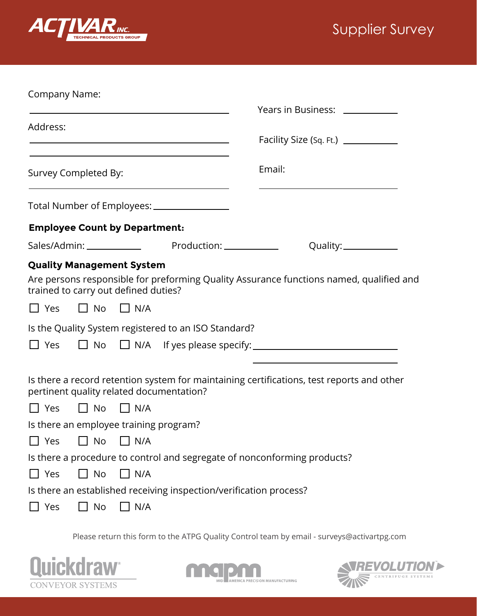

| <b>Company Name:</b> |                                                                          |                      |                                                                    |                                                                                           |
|----------------------|--------------------------------------------------------------------------|----------------------|--------------------------------------------------------------------|-------------------------------------------------------------------------------------------|
|                      |                                                                          |                      |                                                                    | Years in Business: ____________                                                           |
| Address:             |                                                                          |                      |                                                                    | Facility Size (Sq. Ft.) ___________                                                       |
|                      | Survey Completed By:                                                     |                      |                                                                    | Email:                                                                                    |
|                      |                                                                          |                      | Total Number of Employees: _________________                       |                                                                                           |
|                      | <b>Employee Count by Department:</b>                                     |                      |                                                                    |                                                                                           |
|                      |                                                                          |                      |                                                                    |                                                                                           |
|                      | <b>Quality Management System</b><br>trained to carry out defined duties? |                      |                                                                    | Are persons responsible for preforming Quality Assurance functions named, qualified and   |
| $\Box$ Yes           |                                                                          | $\Box$ No $\Box$ N/A |                                                                    |                                                                                           |
|                      |                                                                          |                      | Is the Quality System registered to an ISO Standard?               |                                                                                           |
|                      |                                                                          |                      |                                                                    |                                                                                           |
|                      |                                                                          |                      | pertinent quality related documentation?                           | Is there a record retention system for maintaining certifications, test reports and other |
|                      | $\Box$ Yes $\Box$ No $\Box$ N/A                                          |                      |                                                                    |                                                                                           |
|                      | Is there an employee training program?                                   |                      |                                                                    |                                                                                           |
| Yes                  | No                                                                       | $\Box$ N/A           |                                                                    |                                                                                           |
|                      |                                                                          |                      |                                                                    | Is there a procedure to control and segregate of nonconforming products?                  |
| $\Box$ Yes           | $\Box$ No                                                                | $\Box$ N/A           |                                                                    |                                                                                           |
|                      |                                                                          |                      | Is there an established receiving inspection/verification process? |                                                                                           |
| $\Box$ Yes           | $\Box$ No                                                                | $\Box$ N/A           |                                                                    |                                                                                           |





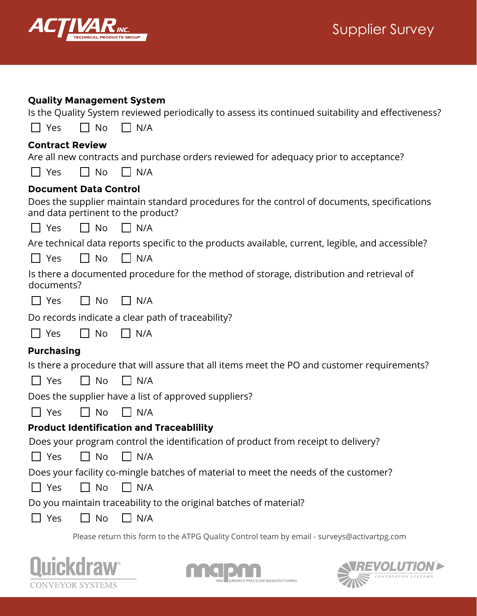

#### **Quality Management System**

Is the Quality System reviewed periodically to assess its continued suitability and effectiveness?

| T Yes | <b>No</b> | $\Box$ N/A |
|-------|-----------|------------|
|-------|-----------|------------|

#### **Contract Review**

Are all new contracts and purchase orders reviewed for adequacy prior to acceptance?

| T Yes | $\Box$ No | $\Box$ N/A |
|-------|-----------|------------|
|-------|-----------|------------|

#### **Document Data Control**

Does the supplier maintain standard procedures for the control of documents, specifications and data pertinent to the product?

 $\Box$  Yes  $\Box$  No  $\Box$  N/A

Are technical data reports specific to the products available, current, legible, and accessible?

| $\Box$ Yes | $\Box$ No | $\Box$ N/A |
|------------|-----------|------------|
|------------|-----------|------------|

Is there a documented procedure for the method of storage, distribution and retrieval of documents?

| $\sim$ | No | N/A |
|--------|----|-----|
|--------|----|-----|

Do records indicate a clear path of traceability?

| ρς | No | N/A |
|----|----|-----|
|----|----|-----|

## **Purchasing**

Is there a procedure that will assure that all items meet the PO and customer requirements?

 $\Box$  Yes  $\Box$  No  $\Box$  N/A

Does the supplier have a list of approved suppliers?

 $\Box$  Yes  $\Box$  No  $\Box$  N/A

# **Product Identification and Traceablility**

Does your program control the identification of product from receipt to delivery?

 $\Box$  Yes  $\Box$  No  $\Box$  N/A

Does your facility co-mingle batches of material to meet the needs of the customer?

| □ Yes | <b>No</b> | $\Box$ N/A |
|-------|-----------|------------|
|-------|-----------|------------|

Do you maintain traceability to the original batches of material?

 $\Box$  Yes  $\Box$  No  $\Box$  N/A





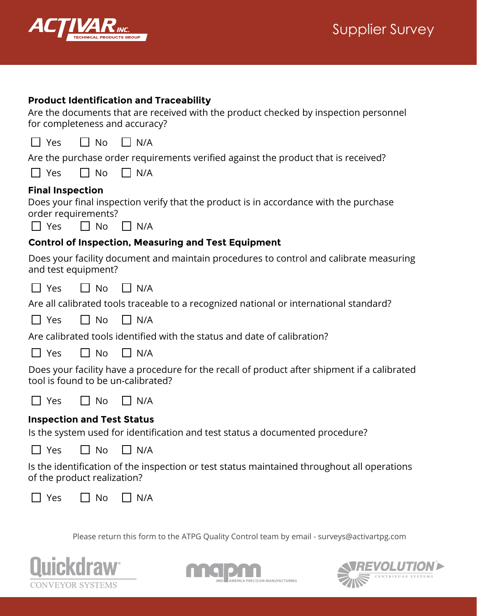

#### **Product Identification and Traceability**

Are the documents that are received with the product checked by inspection personnel for completeness and accuracy?

| Yes | No | N/A |
|-----|----|-----|
|-----|----|-----|

Are the purchase order requirements verified against the product that is received?

| $\Box$ No $\Box$ N/A | $\Box$ Yes |  |  |
|----------------------|------------|--|--|
|----------------------|------------|--|--|

# **Final Inspection**

Does your final inspection verify that the product is in accordance with the purchase order requirements?

 $\Box$  Yes  $\Box$  No  $\Box$  N/A

## **Control of Inspection, Measuring and Test Equipment**

Does your facility document and maintain procedures to control and calibrate measuring and test equipment?



Are all calibrated tools traceable to a recognized national or international standard?



Are calibrated tools identified with the status and date of calibration?

| $\prod$ Yes | $\Box$ No $\Box$ N/A |  |
|-------------|----------------------|--|
|-------------|----------------------|--|

Does your facility have a procedure for the recall of product after shipment if a calibrated tool is found to be un-calibrated?



# **Inspection and Test Status**

Is the system used for identification and test status a documented procedure?

 $\Box$  Yes  $\Box$  No  $\Box$  N/A

Is the identification of the inspection or test status maintained throughout all operations of the product realization?